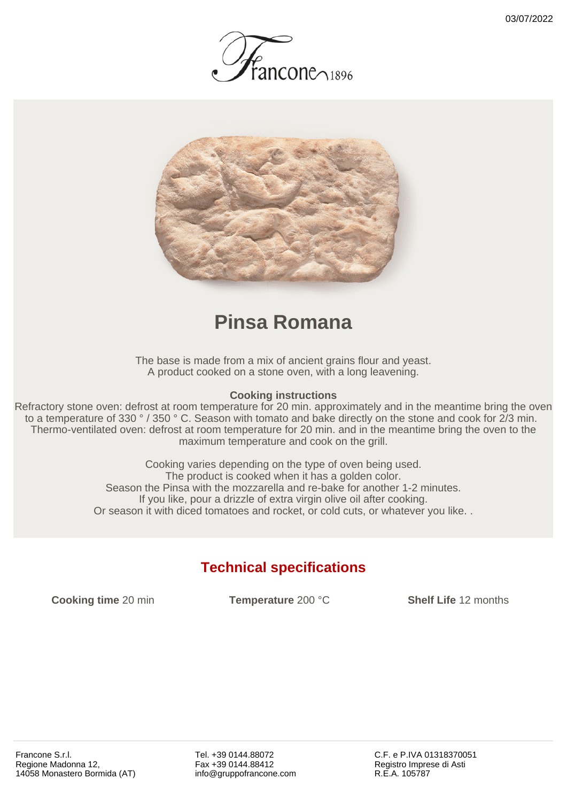



## **Pinsa Romana**

The base is made from a mix of ancient grains flour and yeast. A product cooked on a stone oven, with a long leavening.

## **Cooking instructions**

Refractory stone oven: defrost at room temperature for 20 min. approximately and in the meantime bring the oven to a temperature of 330 ° / 350 ° C. Season with tomato and bake directly on the stone and cook for 2/3 min. Thermo-ventilated oven: defrost at room temperature for 20 min. and in the meantime bring the oven to the maximum temperature and cook on the grill.

> Cooking varies depending on the type of oven being used. The product is cooked when it has a golden color. Season the Pinsa with the mozzarella and re-bake for another 1-2 minutes. If you like, pour a drizzle of extra virgin olive oil after cooking. Or season it with diced tomatoes and rocket, or cold cuts, or whatever you like. .

## **Technical specifications**

**Cooking time** 20 min **Temperature** 200 °C **Shelf Life** 12 months